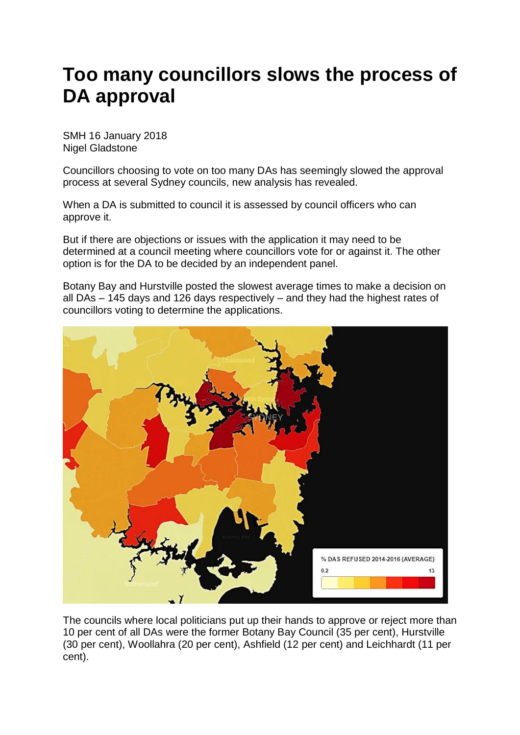## **Too many councillors slows the process of DA approval**

SMH 16 January 2018 Nigel Gladstone

Councillors choosing to vote on too many DAs has seemingly slowed the approval process at several Sydney councils, new analysis has revealed.

When a DA is submitted to council it is assessed by council officers who can approve it.

But if there are objections or issues with the application it may need to be determined at a council meeting where councillors vote for or against it. The other option is for the DA to be decided by an independent panel.

Botany Bay and Hurstville posted the slowest average times to make a decision on all DAs – 145 days and 126 days respectively – and they had the highest rates of councillors voting to determine the applications.



The councils where local politicians put up their hands to approve or reject more than 10 per cent of all DAs were the former Botany Bay Council (35 per cent), Hurstville (30 per cent), Woollahra (20 per cent), Ashfield (12 per cent) and Leichhardt (11 per cent).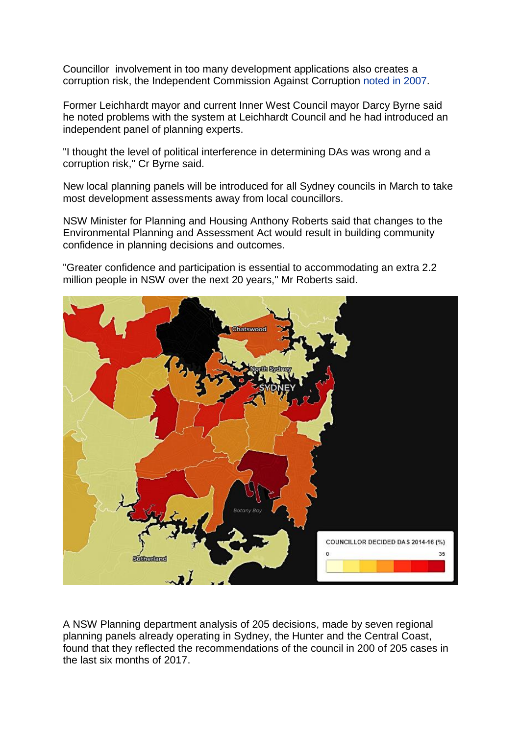Councillor involvement in too many development applications also creates a corruption risk, the Independent Commission Against Corruption [noted](https://www.icac.nsw.gov.au/docman/preventing-corruption/cp-publications-guidelines/1280-corruption-risks-in-nsw-development-approval-processes-position-paper/file) in 2007.

Former Leichhardt mayor and current Inner West Council mayor Darcy Byrne said he noted problems with the system at Leichhardt Council and he had introduced an independent panel of planning experts.

"I thought the level of political interference in determining DAs was wrong and a corruption risk," Cr Byrne said.

New local planning panels will be introduced for all Sydney councils in March to take most development assessments away from local councillors.

NSW Minister for Planning and Housing Anthony Roberts said that changes to the Environmental Planning and Assessment Act would result in building community confidence in planning decisions and outcomes.

"Greater confidence and participation is essential to accommodating an extra 2.2 million people in NSW over the next 20 years," Mr Roberts said.



A NSW Planning department analysis of 205 decisions, made by seven regional planning panels already operating in Sydney, the Hunter and the Central Coast, found that they reflected the recommendations of the council in 200 of 205 cases in the last six months of 2017.